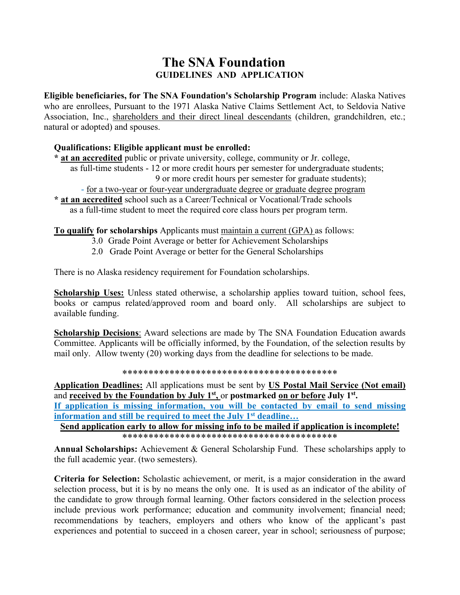## **The SNA Foundation GUIDELINES AND APPLICATION**

**Eligible beneficiaries, for The SNA Foundation's Scholarship Program** include: Alaska Natives who are enrollees, Pursuant to the 1971 Alaska Native Claims Settlement Act, to Seldovia Native Association, Inc., shareholders and their direct lineal descendants (children, grandchildren, etc.; natural or adopted) and spouses.

#### **Qualifications: Eligible applicant must be enrolled:**

**\* at an accredited** public or private university, college, community or Jr. college,

- as full-time students 12 or more credit hours per semester for undergraduate students;
	- 9 or more credit hours per semester for graduate students);
	- for a two-year or four-year undergraduate degree or graduate degree program
- **\* at an accredited** school such as a Career/Technical or Vocational/Trade schools as a full-time student to meet the required core class hours per program term.

**To qualify for scholarships** Applicants must maintain a current (GPA) as follows:

- 3.0 Grade Point Average or better for Achievement Scholarships
- 2.0 Grade Point Average or better for the General Scholarships

There is no Alaska residency requirement for Foundation scholarships.

**Scholarship Uses:** Unless stated otherwise, a scholarship applies toward tuition, school fees, books or campus related/approved room and board only. All scholarships are subject to available funding.

**Scholarship Decisions:** Award selections are made by The SNA Foundation Education awards Committee. Applicants will be officially informed, by the Foundation, of the selection results by mail only. Allow twenty (20) working days from the deadline for selections to be made.

\*\*\*\*\*\*\*\*\*\*\*\*\*\*\*\*\*\*\*\*\*\*\*\*\*\*\*\*\*\*\*\*\*\*\*\*\*\*\*\*\*

**Application Deadlines:** All applications must be sent by **US Postal Mail Service (Not email)** and **received by the Foundation by July 1<sup>st</sup>**, or **postmarked <u>on or before</u> July 1<sup>st</sup></u>.** 

**If application is missing information, you will be contacted by email to send missing information and still be required to meet the July 1st deadline…** 

**Send application early to allow for missing info to be mailed if application is incomplete!** \*\*\*\*\*\*\*\*\*\*\*\*\*\*\*\*\*\*\*\*\*\*\*\*\*\*\*\*\*\*\*\*\*\*\*\*\*\*\*\*\*

**Annual Scholarships:** Achievement & General Scholarship Fund. These scholarships apply to the full academic year. (two semesters).

**Criteria for Selection:** Scholastic achievement, or merit, is a major consideration in the award selection process, but it is by no means the only one. It is used as an indicator of the ability of the candidate to grow through formal learning. Other factors considered in the selection process include previous work performance; education and community involvement; financial need; recommendations by teachers, employers and others who know of the applicant's past experiences and potential to succeed in a chosen career, year in school; seriousness of purpose;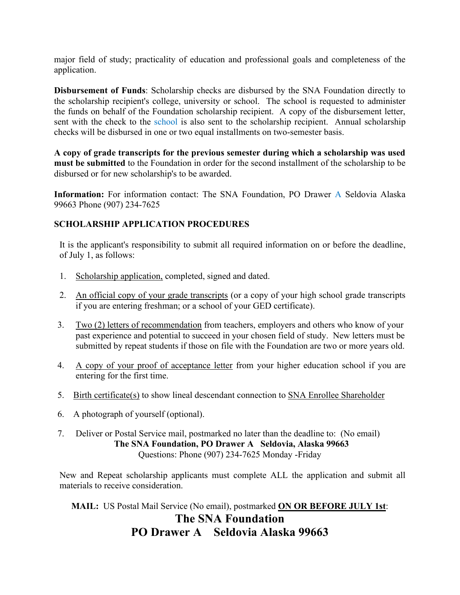major field of study; practicality of education and professional goals and completeness of the application.

**Disbursement of Funds**: Scholarship checks are disbursed by the SNA Foundation directly to the scholarship recipient's college, university or school. The school is requested to administer the funds on behalf of the Foundation scholarship recipient. A copy of the disbursement letter, sent with the check to the school is also sent to the scholarship recipient. Annual scholarship checks will be disbursed in one or two equal installments on two-semester basis.

**A copy of grade transcripts for the previous semester during which a scholarship was used must be submitted** to the Foundation in order for the second installment of the scholarship to be disbursed or for new scholarship's to be awarded.

**Information:** For information contact: The SNA Foundation, PO Drawer A Seldovia Alaska 99663 Phone (907) 234-7625

## **SCHOLARSHIP APPLICATION PROCEDURES**

It is the applicant's responsibility to submit all required information on or before the deadline, of July 1, as follows:

- 1. Scholarship application, completed, signed and dated.
- 2. An official copy of your grade transcripts (or a copy of your high school grade transcripts if you are entering freshman; or a school of your GED certificate).
- 3. Two (2) letters of recommendation from teachers, employers and others who know of your past experience and potential to succeed in your chosen field of study. New letters must be submitted by repeat students if those on file with the Foundation are two or more years old.
- 4. A copy of your proof of acceptance letter from your higher education school if you are entering for the first time.
- 5. Birth certificate(s) to show lineal descendant connection to SNA Enrollee Shareholder
- 6. A photograph of yourself (optional).
- 7. Deliver or Postal Service mail, postmarked no later than the deadline to: (No email) **The SNA Foundation, PO Drawer A Seldovia, Alaska 99663** Questions: Phone (907) 234-7625 Monday -Friday

New and Repeat scholarship applicants must complete ALL the application and submit all materials to receive consideration.

**MAIL:** US Postal Mail Service (No email), postmarked **ON OR BEFORE JULY 1st**:

# **The SNA Foundation PO Drawer A Seldovia Alaska 99663**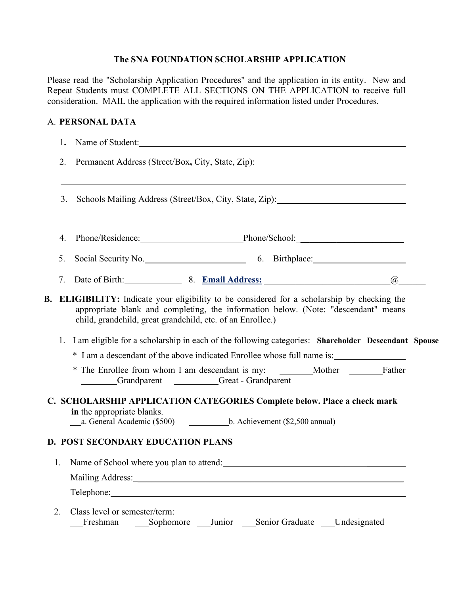## **The SNA FOUNDATION SCHOLARSHIP APPLICATION**

Please read the "Scholarship Application Procedures" and the application in its entity. New and Repeat Students must COMPLETE ALL SECTIONS ON THE APPLICATION to receive full consideration. MAIL the application with the required information listed under Procedures.

## A. **PERSONAL DATA**

|    | 1. | Name of Student:<br><u> 1980 - Jan Samuel Barbara, margaret e populari e populari e populari e populari e populari e populari e popu</u>                                                                                                             |  |  |  |  |
|----|----|------------------------------------------------------------------------------------------------------------------------------------------------------------------------------------------------------------------------------------------------------|--|--|--|--|
|    | 2. |                                                                                                                                                                                                                                                      |  |  |  |  |
|    | 3. |                                                                                                                                                                                                                                                      |  |  |  |  |
|    | 4. | <u>and the state of the state of the state of the state of the state of the state of the state of the state of th</u><br>Phone/Residence: Phone/School: Phone/School:                                                                                |  |  |  |  |
|    | 5. | Social Security No. 6. Birthplace: 6. Birthplace:                                                                                                                                                                                                    |  |  |  |  |
|    | 7. | Date of Birth: 8. Email Address:<br>$\left(\overline{a}\right)$                                                                                                                                                                                      |  |  |  |  |
| В. |    | <b>ELIGIBILITY:</b> Indicate your eligibility to be considered for a scholarship by checking the<br>appropriate blank and completing, the information below. (Note: "descendant" means<br>child, grandchild, great grandchild, etc. of an Enrollee.) |  |  |  |  |
|    | 1. | I am eligible for a scholarship in each of the following categories: Shareholder Descendant Spouse                                                                                                                                                   |  |  |  |  |
|    |    |                                                                                                                                                                                                                                                      |  |  |  |  |
|    |    | * The Enrollee from whom I am descendant is my: ________Mother _________Father<br>Grandparent Great - Grandparent                                                                                                                                    |  |  |  |  |
|    |    | C. SCHOLARSHIP APPLICATION CATEGORIES Complete below. Place a check mark                                                                                                                                                                             |  |  |  |  |
|    |    | in the appropriate blanks.                                                                                                                                                                                                                           |  |  |  |  |
|    |    | <b>D. POST SECONDARY EDUCATION PLANS</b>                                                                                                                                                                                                             |  |  |  |  |
|    | 1. | Name of School where you plan to attend:                                                                                                                                                                                                             |  |  |  |  |
|    |    | Mailing Address: Mailing Address:                                                                                                                                                                                                                    |  |  |  |  |
|    |    | Telephone:                                                                                                                                                                                                                                           |  |  |  |  |
|    | 2. | Class level or semester/term:<br>Senior Graduate ____Undesignated<br>Sophomore ___ Junior<br>Freshman                                                                                                                                                |  |  |  |  |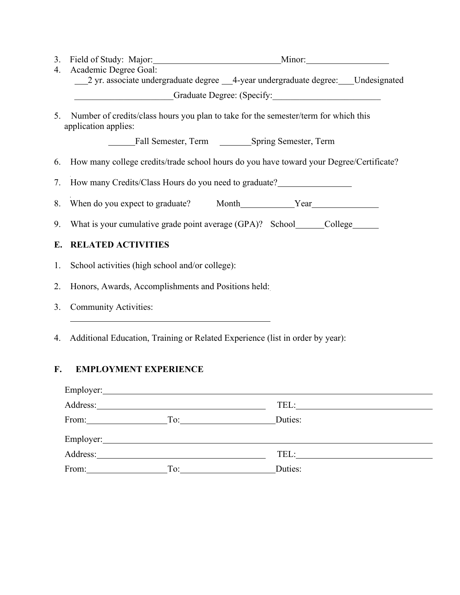3. Field of Study: Major: Minor: Minor: Minor:

4. Academic Degree Goal: 1 yr. associate undergraduate degree 14-year undergraduate degree: Undesignated \_\_\_\_\_\_\_\_\_\_\_\_\_\_\_\_\_\_\_\_\_\_Graduate Degree: (Specify:\_\_\_\_\_\_\_\_\_\_\_\_\_\_\_\_\_\_\_\_\_\_\_\_

5. Number of credits/class hours you plan to take for the semester/term for which this application applies:

Fall Semester, Term Spring Semester, Term

6. How many college credits/trade school hours do you have toward your Degree/Certificate?

7. How many Credits/Class Hours do you need to graduate?

8. When do you expect to graduate? Month Year

9. What is your cumulative grade point average (GPA)? School\_\_\_\_\_\_College\_\_\_\_\_\_\_

## **E. RELATED ACTIVITIES**

- 1. School activities (high school and/or college):
- 2. Honors, Awards, Accomplishments and Positions held:
- 3. Community Activities:
- 4. Additional Education, Training or Related Experience (list in order by year):

## **F. EMPLOYMENT EXPERIENCE**

| Address: |                                                                                                                                                                                                                                | TEL:    |
|----------|--------------------------------------------------------------------------------------------------------------------------------------------------------------------------------------------------------------------------------|---------|
| From:    | To:                                                                                                                                                                                                                            | Duties: |
|          | Employer: 2008 Company Company Company Company Company Company Company Company Company Company Company Company Company Company Company Company Company Company Company Company Company Company Company Company Company Company |         |
| Address: |                                                                                                                                                                                                                                |         |
| From:    | To:                                                                                                                                                                                                                            | Duties: |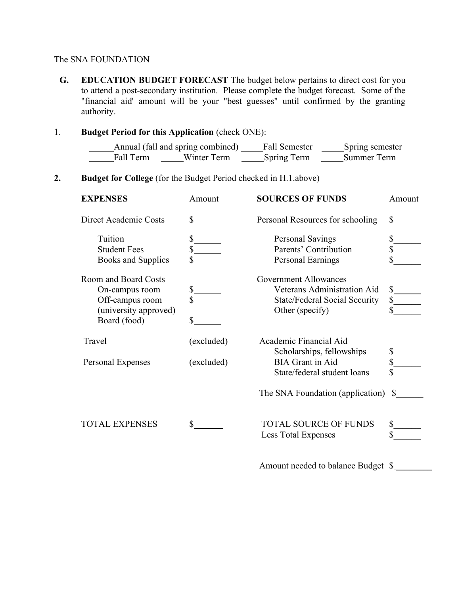#### The SNA FOUNDATION

**G. EDUCATION BUDGET FORECAST** The budget below pertains to direct cost for you to attend a post-secondary institution. Please complete the budget forecast. Some of the "financial aid' amount will be your "best guesses" until confirmed by the granting authority.

## 1. **Budget Period for this Application** (check ONE):

|           | Annual (fall and spring combined) | Fall Semester      | Spring semester |  |
|-----------|-----------------------------------|--------------------|-----------------|--|
| Fall Term | Winter Term                       | <b>Spring Term</b> | Summer Term     |  |

## **2. Budget for College** (for the Budget Period checked in H.1.above)

| <b>EXPENSES</b>                | Amount                        | <b>SOURCES OF FUNDS</b>                   | Amount                          |
|--------------------------------|-------------------------------|-------------------------------------------|---------------------------------|
| Direct Academic Costs          | $\mathbb{S}$ and $\mathbb{S}$ | Personal Resources for schooling          | S.                              |
| Tuition<br><b>Student Fees</b> | \$                            | Personal Savings<br>Parents' Contribution | \$<br>\$                        |
| <b>Books and Supplies</b>      |                               | Personal Earnings                         |                                 |
| <b>Room and Board Costs</b>    |                               | <b>Government Allowances</b>              |                                 |
| On-campus room                 | $\mathbb S$                   | Veterans Administration Aid               | $s$ <sub>_____</sub>            |
| Off-campus room                |                               | <b>State/Federal Social Security</b>      | $\frac{\sqrt{2}}{\sqrt{2}}$     |
| (university approved)          |                               | Other (specify)                           |                                 |
| Board (food)                   | \$                            |                                           |                                 |
| Travel                         | (excluded)                    | Academic Financial Aid                    |                                 |
|                                |                               | Scholarships, fellowships                 |                                 |
| Personal Expenses              | (excluded)                    | <b>BIA</b> Grant in Aid                   | $\frac{\S_{\perp}}{\S_{\perp}}$ |
|                                |                               | State/federal student loans               |                                 |
|                                |                               | The SNA Foundation (application)          | <sup>S</sup>                    |
| <b>TOTAL EXPENSES</b>          | \$                            | <b>TOTAL SOURCE OF FUNDS</b>              | \$                              |
|                                |                               | <b>Less Total Expenses</b>                |                                 |
|                                |                               | Amount needed to balance Budget \$        |                                 |